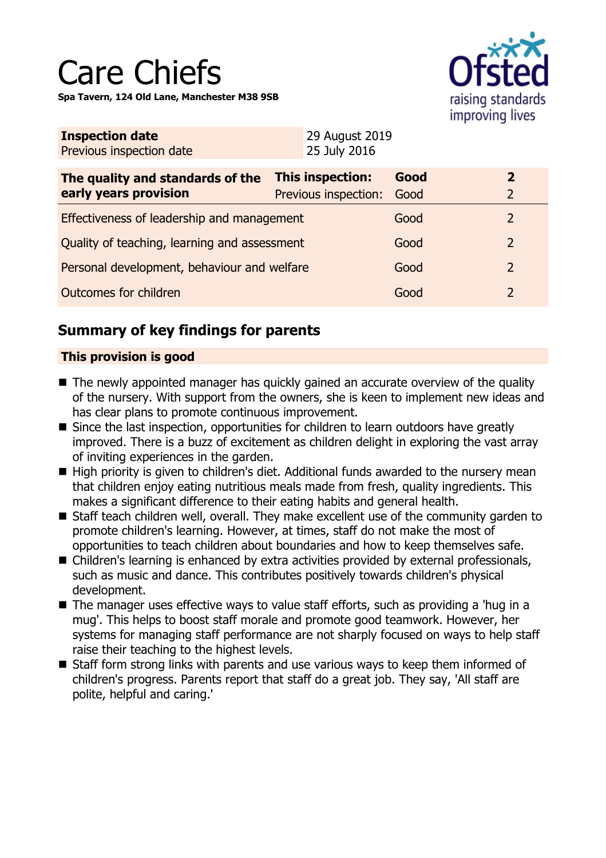

| <b>Inspection date</b>   | 29 August 2019 |
|--------------------------|----------------|
| Previous inspection date | 25 July 2016   |

| The quality and standards of the<br>early years provision | This inspection:<br>Previous inspection: | Good<br>Good |               |
|-----------------------------------------------------------|------------------------------------------|--------------|---------------|
| Effectiveness of leadership and management                |                                          | Good         | $\mathcal{L}$ |
| Quality of teaching, learning and assessment              |                                          | Good         |               |
| Personal development, behaviour and welfare               |                                          | Good         |               |
| Outcomes for children                                     |                                          | Good         |               |

# **Summary of key findings for parents**

### **This provision is good**

- $\blacksquare$  The newly appointed manager has quickly gained an accurate overview of the quality of the nursery. With support from the owners, she is keen to implement new ideas and has clear plans to promote continuous improvement.
- Since the last inspection, opportunities for children to learn outdoors have greatly improved. There is a buzz of excitement as children delight in exploring the vast array of inviting experiences in the garden.
- $\blacksquare$  High priority is given to children's diet. Additional funds awarded to the nursery mean that children enjoy eating nutritious meals made from fresh, quality ingredients. This makes a significant difference to their eating habits and general health.
- Staff teach children well, overall. They make excellent use of the community garden to promote children's learning. However, at times, staff do not make the most of opportunities to teach children about boundaries and how to keep themselves safe.
- Children's learning is enhanced by extra activities provided by external professionals, such as music and dance. This contributes positively towards children's physical development.
- $\blacksquare$  The manager uses effective ways to value staff efforts, such as providing a 'hug in a mug'. This helps to boost staff morale and promote good teamwork. However, her systems for managing staff performance are not sharply focused on ways to help staff raise their teaching to the highest levels.
- Staff form strong links with parents and use various ways to keep them informed of children's progress. Parents report that staff do a great job. They say, 'All staff are polite, helpful and caring.'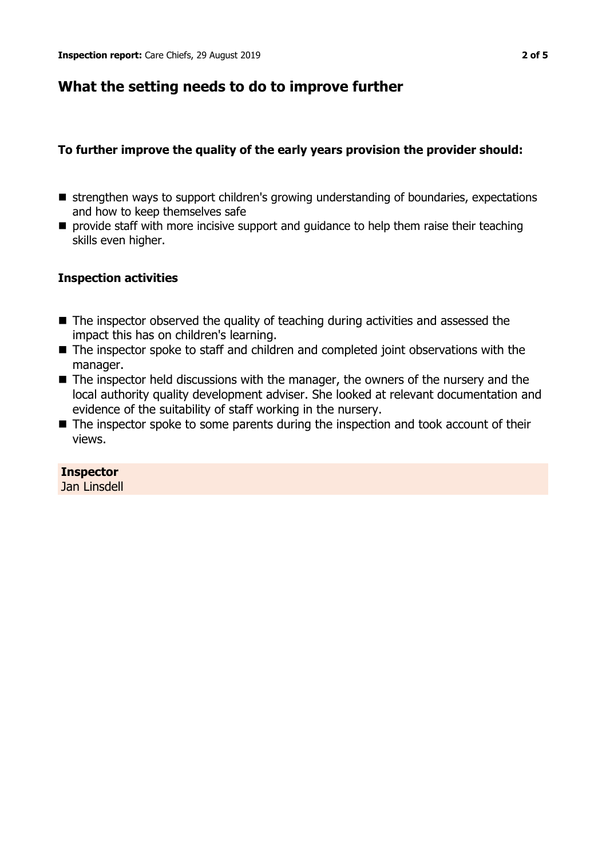## **What the setting needs to do to improve further**

### **To further improve the quality of the early years provision the provider should:**

- strengthen ways to support children's growing understanding of boundaries, expectations and how to keep themselves safe
- $\blacksquare$  provide staff with more incisive support and guidance to help them raise their teaching skills even higher.

### **Inspection activities**

- $\blacksquare$  The inspector observed the quality of teaching during activities and assessed the impact this has on children's learning.
- $\blacksquare$  The inspector spoke to staff and children and completed joint observations with the manager.
- $\blacksquare$  The inspector held discussions with the manager, the owners of the nursery and the local authority quality development adviser. She looked at relevant documentation and evidence of the suitability of staff working in the nursery.
- $\blacksquare$  The inspector spoke to some parents during the inspection and took account of their views.

### **Inspector**

Jan Linsdell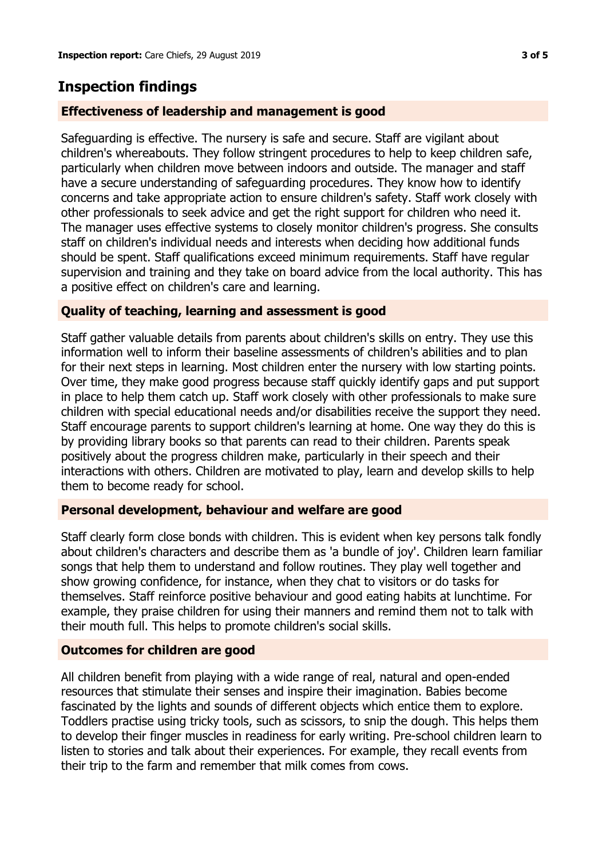# **Inspection findings**

### **Effectiveness of leadership and management is good**

Safeguarding is effective. The nursery is safe and secure. Staff are vigilant about children's whereabouts. They follow stringent procedures to help to keep children safe, particularly when children move between indoors and outside. The manager and staff have a secure understanding of safeguarding procedures. They know how to identify concerns and take appropriate action to ensure children's safety. Staff work closely with other professionals to seek advice and get the right support for children who need it. The manager uses effective systems to closely monitor children's progress. She consults staff on children's individual needs and interests when deciding how additional funds should be spent. Staff qualifications exceed minimum requirements. Staff have regular supervision and training and they take on board advice from the local authority. This has a positive effect on children's care and learning.

### **Quality of teaching, learning and assessment is good**

Staff gather valuable details from parents about children's skills on entry. They use this information well to inform their baseline assessments of children's abilities and to plan for their next steps in learning. Most children enter the nursery with low starting points. Over time, they make good progress because staff quickly identify gaps and put support in place to help them catch up. Staff work closely with other professionals to make sure children with special educational needs and/or disabilities receive the support they need. Staff encourage parents to support children's learning at home. One way they do this is by providing library books so that parents can read to their children. Parents speak positively about the progress children make, particularly in their speech and their interactions with others. Children are motivated to play, learn and develop skills to help them to become ready for school.

### **Personal development, behaviour and welfare are good**

Staff clearly form close bonds with children. This is evident when key persons talk fondly about children's characters and describe them as 'a bundle of joy'. Children learn familiar songs that help them to understand and follow routines. They play well together and show growing confidence, for instance, when they chat to visitors or do tasks for themselves. Staff reinforce positive behaviour and good eating habits at lunchtime. For example, they praise children for using their manners and remind them not to talk with their mouth full. This helps to promote children's social skills.

### **Outcomes for children are good**

All children benefit from playing with a wide range of real, natural and open-ended resources that stimulate their senses and inspire their imagination. Babies become fascinated by the lights and sounds of different objects which entice them to explore. Toddlers practise using tricky tools, such as scissors, to snip the dough. This helps them to develop their finger muscles in readiness for early writing. Pre-school children learn to listen to stories and talk about their experiences. For example, they recall events from their trip to the farm and remember that milk comes from cows.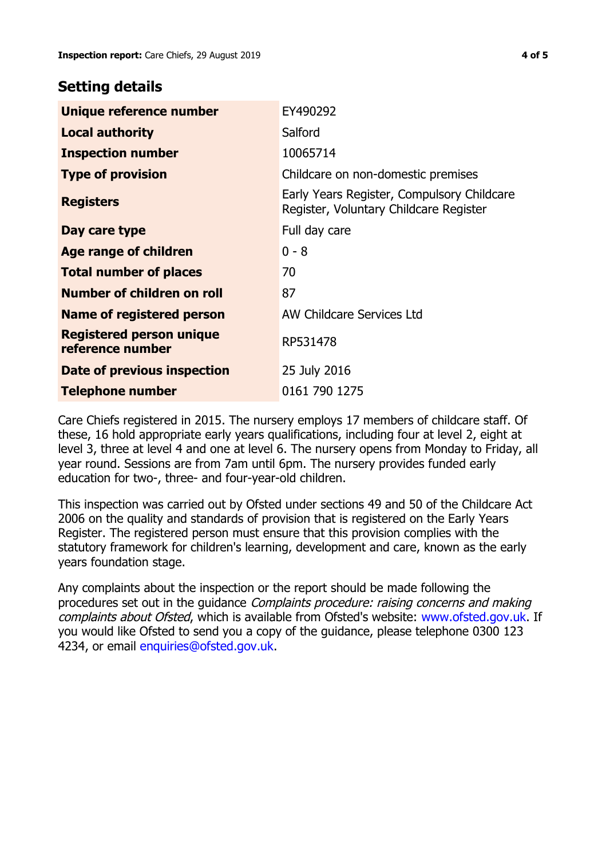## **Setting details**

| Unique reference number                             | EY490292                                                                             |
|-----------------------------------------------------|--------------------------------------------------------------------------------------|
| <b>Local authority</b>                              | Salford                                                                              |
| <b>Inspection number</b>                            | 10065714                                                                             |
| <b>Type of provision</b>                            | Childcare on non-domestic premises                                                   |
| <b>Registers</b>                                    | Early Years Register, Compulsory Childcare<br>Register, Voluntary Childcare Register |
| Day care type                                       | Full day care                                                                        |
| Age range of children                               | $0 - 8$                                                                              |
| <b>Total number of places</b>                       | 70                                                                                   |
| Number of children on roll                          | 87                                                                                   |
| Name of registered person                           | AW Childcare Services Ltd                                                            |
| <b>Registered person unique</b><br>reference number | RP531478                                                                             |
| <b>Date of previous inspection</b>                  | 25 July 2016                                                                         |
| Telephone number                                    | 0161 790 1275                                                                        |

Care Chiefs registered in 2015. The nursery employs 17 members of childcare staff. Of these, 16 hold appropriate early years qualifications, including four at level 2, eight at level 3, three at level 4 and one at level 6. The nursery opens from Monday to Friday, all year round. Sessions are from 7am until 6pm. The nursery provides funded early education for two-, three- and four-year-old children.

This inspection was carried out by Ofsted under sections 49 and 50 of the Childcare Act 2006 on the quality and standards of provision that is registered on the Early Years Register. The registered person must ensure that this provision complies with the statutory framework for children's learning, development and care, known as the early years foundation stage.

Any complaints about the inspection or the report should be made following the procedures set out in the guidance Complaints procedure: raising concerns and making complaints about Ofsted, which is available from Ofsted's website: www.ofsted.gov.uk. If you would like Ofsted to send you a copy of the guidance, please telephone 0300 123 4234, or email [enquiries@ofsted.gov.uk.](mailto:enquiries@ofsted.gov.uk)